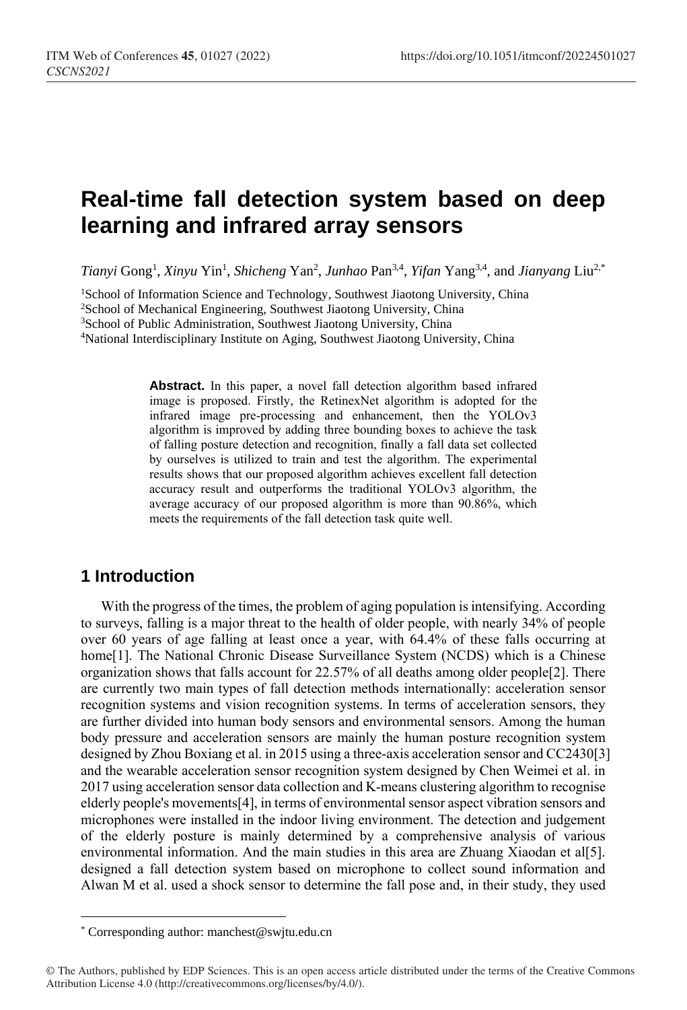# **Real-time fall detection system based on deep learning and infrared array sensors**

*Tianyi* Gong<sup>1</sup> , *Xinyu* Yin<sup>1</sup> , *Shicheng* Yan<sup>2</sup> , *Junhao* Pan3,4 , *Yifan* Yang3,4, and *Jianyang* Liu2,\*

<sup>1</sup>School of Information Science and Technology, Southwest Jiaotong University, China <sup>2</sup>School of Mechanical Engineering, Southwest Jiaotong University, China

<sup>3</sup>School of Public Administration, Southwest Jiaotong University, China

<sup>4</sup>National Interdisciplinary Institute on Aging, Southwest Jiaotong University, China

Abstract. In this paper, a novel fall detection algorithm based infrared image is proposed. Firstly, the RetinexNet algorithm is adopted for the infrared image pre-processing and enhancement, then the YOLOv3 algorithm is improved by adding three bounding boxes to achieve the task of falling posture detection and recognition, finally a fall data set collected by ourselves is utilized to train and test the algorithm. The experimental results shows that our proposed algorithm achieves excellent fall detection accuracy result and outperforms the traditional YOLOv3 algorithm, the average accuracy of our proposed algorithm is more than 90.86%, which meets the requirements of the fall detection task quite well.

### **1 Introduction**

 $\overline{a}$ 

With the progress of the times, the problem of aging population is intensifying. According to surveys, falling is a major threat to the health of older people, with nearly 34% of people over 60 years of age falling at least once a year, with 64.4% of these falls occurring at home[1]. The National Chronic Disease Surveillance System (NCDS) which is a Chinese organization shows that falls account for 22.57% of all deaths among older people[2]. There are currently two main types of fall detection methods internationally: acceleration sensor recognition systems and vision recognition systems. In terms of acceleration sensors, they are further divided into human body sensors and environmental sensors. Among the human body pressure and acceleration sensors are mainly the human posture recognition system designed by Zhou Boxiang et al. in 2015 using a three-axis acceleration sensor and CC2430[3] and the wearable acceleration sensor recognition system designed by Chen Weimei et al. in 2017 using acceleration sensor data collection and K-means clustering algorithm to recognise elderly people's movements[4], in terms of environmental sensor aspect vibration sensors and microphones were installed in the indoor living environment. The detection and judgement of the elderly posture is mainly determined by a comprehensive analysis of various environmental information. And the main studies in this area are Zhuang Xiaodan et al[5]. designed a fall detection system based on microphone to collect sound information and Alwan M et al. used a shock sensor to determine the fall pose and, in their study, they used

<sup>\*</sup> Corresponding author[: manchest@swjtu.edu.cn](mailto:author@email.org)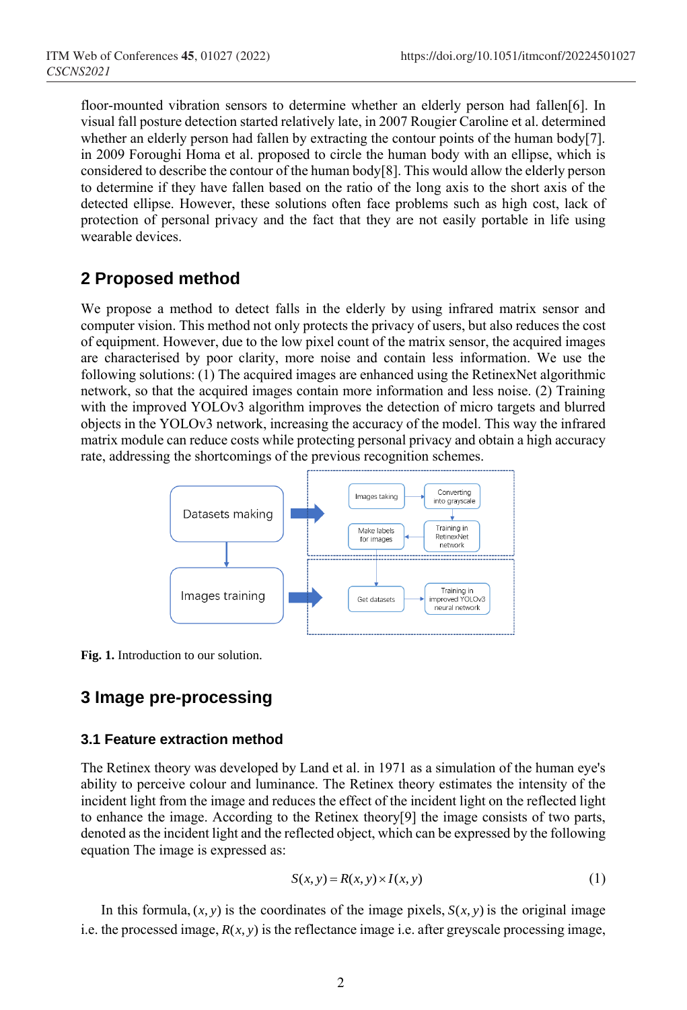floor-mounted vibration sensors to determine whether an elderly person had fallen[6]. In visual fall posture detection started relatively late, in 2007 Rougier Caroline et al. determined whether an elderly person had fallen by extracting the contour points of the human body[7]. in 2009 Foroughi Homa et al. proposed to circle the human body with an ellipse, which is considered to describe the contour of the human body[8]. This would allow the elderly person to determine if they have fallen based on the ratio of the long axis to the short axis of the detected ellipse. However, these solutions often face problems such as high cost, lack of protection of personal privacy and the fact that they are not easily portable in life using wearable devices.

## **2 Proposed method**

We propose a method to detect falls in the elderly by using infrared matrix sensor and computer vision. This method not only protects the privacy of users, but also reduces the cost of equipment. However, due to the low pixel count of the matrix sensor, the acquired images are characterised by poor clarity, more noise and contain less information. We use the following solutions: (1) The acquired images are enhanced using the RetinexNet algorithmic network, so that the acquired images contain more information and less noise. (2) Training with the improved YOLOv3 algorithm improves the detection of micro targets and blurred objects in the YOLOv3 network, increasing the accuracy of the model. This way the infrared matrix module can reduce costs while protecting personal privacy and obtain a high accuracy rate, addressing the shortcomings of the previous recognition schemes.



**Fig. 1.** Introduction to our solution.

## **3 Image pre-processing**

#### **3.1 Feature extraction method**

The Retinex theory was developed by Land et al. in 1971 as a simulation of the human eye's ability to perceive colour and luminance. The Retinex theory estimates the intensity of the incident light from the image and reduces the effect of the incident light on the reflected light to enhance the image. According to the Retinex theory[9] the image consists of two parts, denoted as the incident light and the reflected object, which can be expressed by the following equation The image is expressed as:

$$
S(x, y) = R(x, y) \times I(x, y)
$$
\n<sup>(1)</sup>

In this formula,  $(x, y)$  is the coordinates of the image pixels,  $S(x, y)$  is the original image i.e. the processed image,  $R(x, y)$  is the reflectance image i.e. after greyscale processing image,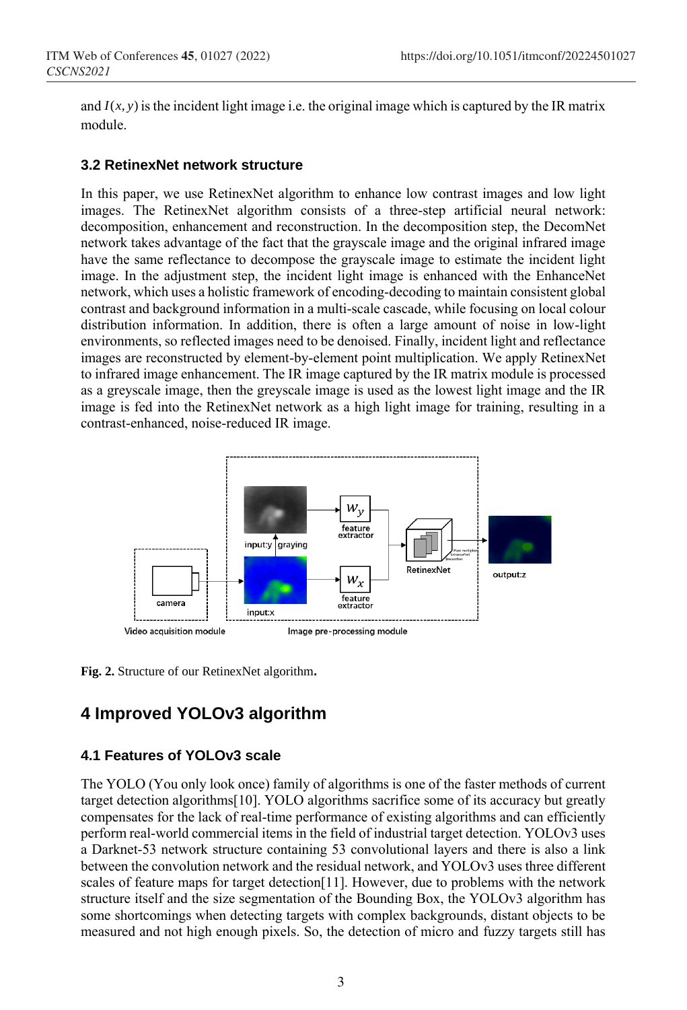and  $I(x, y)$  is the incident light image i.e. the original image which is captured by the IR matrix module.

#### **3.2 RetinexNet network structure**

In this paper, we use RetinexNet algorithm to enhance low contrast images and low light images. The RetinexNet algorithm consists of a three-step artificial neural network: decomposition, enhancement and reconstruction. In the decomposition step, the DecomNet network takes advantage of the fact that the grayscale image and the original infrared image have the same reflectance to decompose the grayscale image to estimate the incident light image. In the adjustment step, the incident light image is enhanced with the EnhanceNet network, which uses a holistic framework of encoding-decoding to maintain consistent global contrast and background information in a multi-scale cascade, while focusing on local colour distribution information. In addition, there is often a large amount of noise in low-light environments, so reflected images need to be denoised. Finally, incident light and reflectance images are reconstructed by element-by-element point multiplication. We apply RetinexNet to infrared image enhancement. The IR image captured by the IR matrix module is processed as a greyscale image, then the greyscale image is used as the lowest light image and the IR image is fed into the RetinexNet network as a high light image for training, resulting in a contrast-enhanced, noise-reduced IR image.



**Fig. 2.** Structure of our RetinexNet algorithm**.**

## **4 Improved YOLOv3 algorithm**

#### **4.1 Features of YOLOv3 scale**

The YOLO (You only look once) family of algorithms is one of the faster methods of current target detection algorithms[10]. YOLO algorithms sacrifice some of its accuracy but greatly compensates for the lack of real-time performance of existing algorithms and can efficiently perform real-world commercial items in the field of industrial target detection. YOLOv3 uses a Darknet-53 network structure containing 53 convolutional layers and there is also a link between the convolution network and the residual network, and YOLOv3 uses three different scales of feature maps for target detection[11]. However, due to problems with the network structure itself and the size segmentation of the Bounding Box, the YOLOv3 algorithm has some shortcomings when detecting targets with complex backgrounds, distant objects to be measured and not high enough pixels. So, the detection of micro and fuzzy targets still has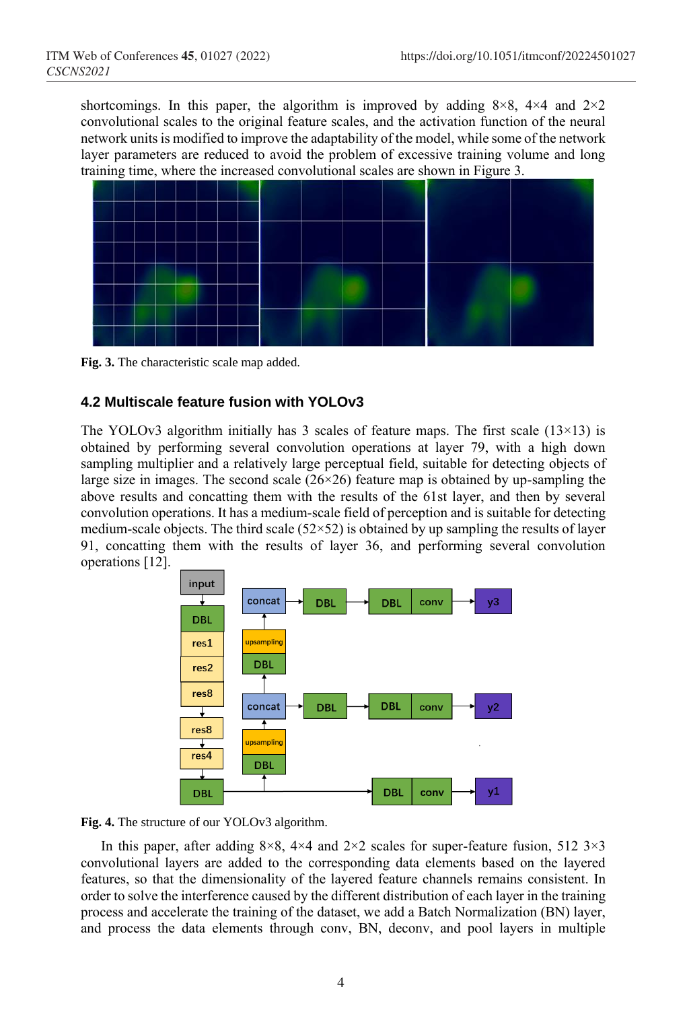shortcomings. In this paper, the algorithm is improved by adding  $8\times8$ ,  $4\times4$  and  $2\times2$ convolutional scales to the original feature scales, and the activation function of the neural network units is modified to improve the adaptability of the model, while some of the network layer parameters are reduced to avoid the problem of excessive training volume and long training time, where the increased convolutional scales are shown in Figure 3.



**Fig. 3.** The characteristic scale map added.

#### **4.2 Multiscale feature fusion with YOLOv3**

The YOLOv3 algorithm initially has 3 scales of feature maps. The first scale  $(13\times13)$  is obtained by performing several convolution operations at layer 79, with a high down sampling multiplier and a relatively large perceptual field, suitable for detecting objects of large size in images. The second scale  $(26\times26)$  feature map is obtained by up-sampling the above results and concatting them with the results of the 61st layer, and then by several convolution operations. It has a medium-scale field of perception and is suitable for detecting medium-scale objects. The third scale  $(52\times52)$  is obtained by up sampling the results of layer 91, concatting them with the results of layer 36, and performing several convolution operations [12].



**Fig. 4.** The structure of our YOLOv3 algorithm.

In this paper, after adding  $8\times8$ ,  $4\times4$  and  $2\times2$  scales for super-feature fusion, 512 3 $\times3$ convolutional layers are added to the corresponding data elements based on the layered features, so that the dimensionality of the layered feature channels remains consistent. In order to solve the interference caused by the different distribution of each layer in the training process and accelerate the training of the dataset, we add a Batch Normalization (BN) layer, and process the data elements through conv, BN, deconv, and pool layers in multiple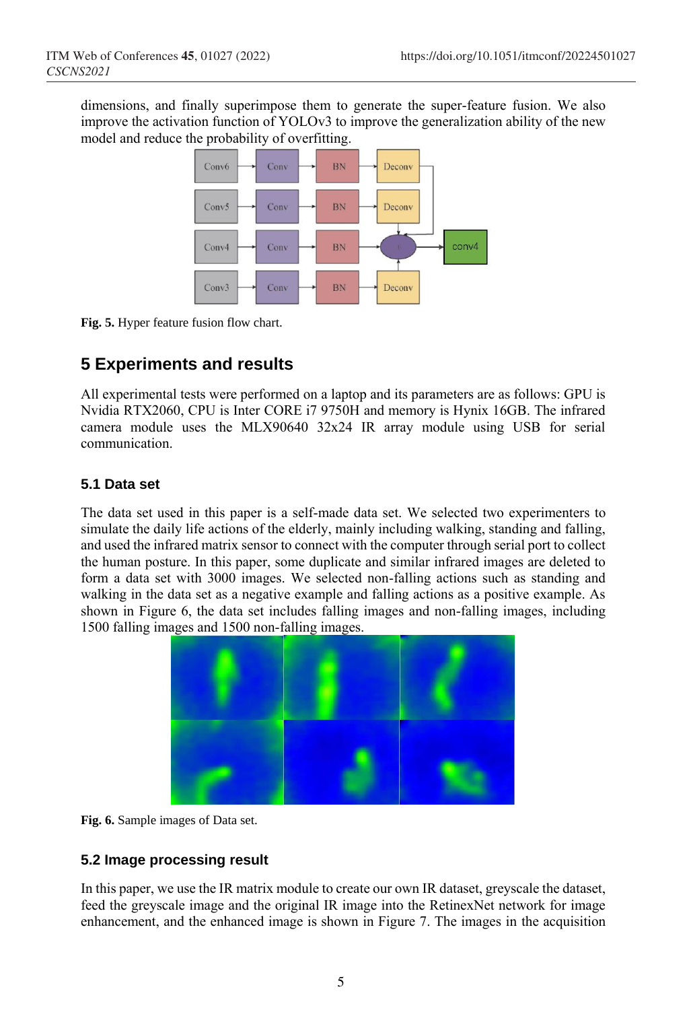dimensions, and finally superimpose them to generate the super-feature fusion. We also improve the activation function of YOLOv3 to improve the generalization ability of the new model and reduce the probability of overfitting.



**Fig. 5.** Hyper feature fusion flow chart.

## **5 Experiments and results**

All experimental tests were performed on a laptop and its parameters are as follows: GPU is Nvidia RTX2060, CPU is Inter CORE i7 9750H and memory is Hynix 16GB. The infrared camera module uses the MLX90640 32x24 IR array module using USB for serial communication.

#### **5.1 Data set**

The data set used in this paper is a self-made data set. We selected two experimenters to simulate the daily life actions of the elderly, mainly including walking, standing and falling, and used the infrared matrix sensor to connect with the computer through serial port to collect the human posture. In this paper, some duplicate and similar infrared images are deleted to form a data set with 3000 images. We selected non-falling actions such as standing and walking in the data set as a negative example and falling actions as a positive example. As shown in Figure 6, the data set includes falling images and non-falling images, including 1500 falling images and 1500 non-falling images.



**Fig. 6.** Sample images of Data set.

#### **5.2 Image processing result**

In this paper, we use the IR matrix module to create our own IR dataset, greyscale the dataset, feed the greyscale image and the original IR image into the RetinexNet network for image enhancement, and the enhanced image is shown in Figure 7. The images in the acquisition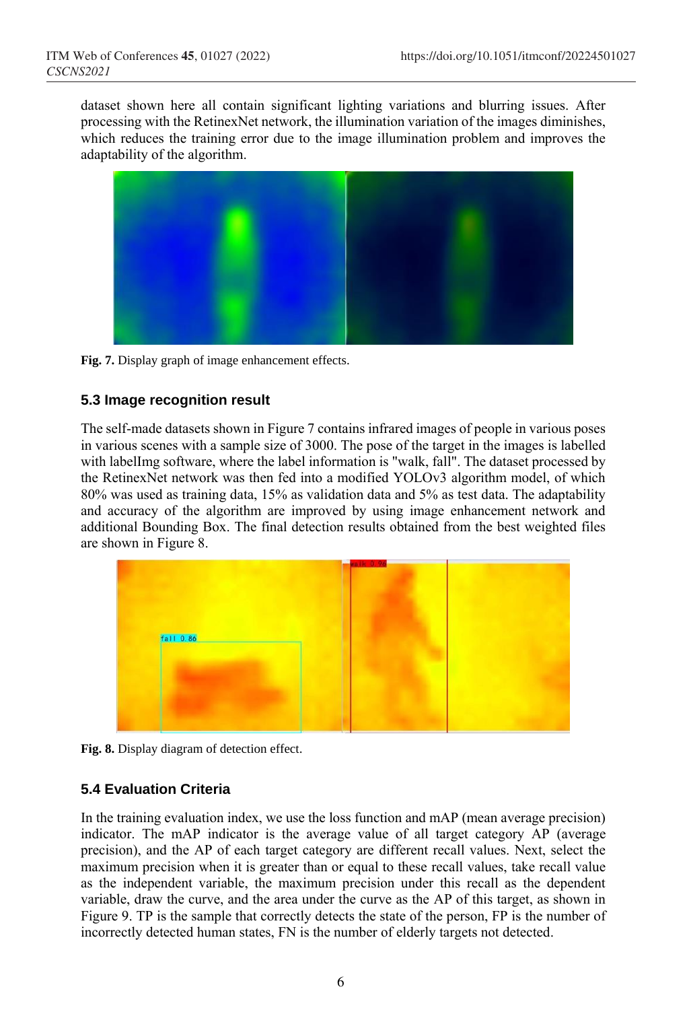dataset shown here all contain significant lighting variations and blurring issues. After processing with the RetinexNet network, the illumination variation of the images diminishes, which reduces the training error due to the image illumination problem and improves the adaptability of the algorithm.



**Fig. 7.** Display graph of image enhancement effects.

#### **5.3 Image recognition result**

The self-made datasets shown in Figure 7 contains infrared images of people in various poses in various scenes with a sample size of 3000. The pose of the target in the images is labelled with labelImg software, where the label information is "walk, fall". The dataset processed by the RetinexNet network was then fed into a modified YOLOv3 algorithm model, of which 80% was used as training data, 15% as validation data and 5% as test data. The adaptability and accuracy of the algorithm are improved by using image enhancement network and additional Bounding Box. The final detection results obtained from the best weighted files are shown in Figure 8.



Fig. 8. Display diagram of detection effect.

#### **5.4 Evaluation Criteria**

In the training evaluation index, we use the loss function and mAP (mean average precision) indicator. The mAP indicator is the average value of all target category AP (average precision), and the AP of each target category are different recall values. Next, select the maximum precision when it is greater than or equal to these recall values, take recall value as the independent variable, the maximum precision under this recall as the dependent variable, draw the curve, and the area under the curve as the AP of this target, as shown in Figure 9. TP is the sample that correctly detects the state of the person, FP is the number of incorrectly detected human states, FN is the number of elderly targets not detected.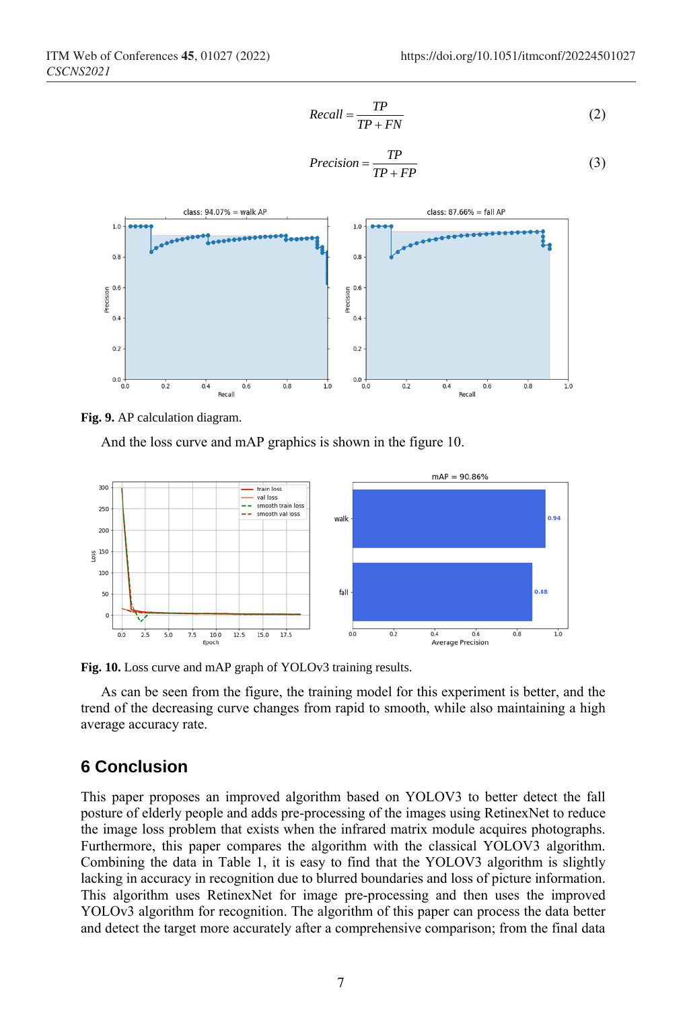$$
Recall = \frac{TP}{TP + FN}
$$
 (2)

$$
Precision = \frac{TP}{TP + FP}
$$
 (3)





And the loss curve and mAP graphics is shown in the figure 10.



**Fig. 10.** Loss curve and mAP graph of YOLOv3 training results.

As can be seen from the figure, the training model for this experiment is better, and the trend of the decreasing curve changes from rapid to smooth, while also maintaining a high average accuracy rate.

#### **6 Conclusion**

This paper proposes an improved algorithm based on YOLOV3 to better detect the fall posture of elderly people and adds pre-processing of the images using RetinexNet to reduce the image loss problem that exists when the infrared matrix module acquires photographs. Furthermore, this paper compares the algorithm with the classical YOLOV3 algorithm. Combining the data in Table 1, it is easy to find that the YOLOV3 algorithm is slightly lacking in accuracy in recognition due to blurred boundaries and loss of picture information. This algorithm uses RetinexNet for image pre-processing and then uses the improved YOLOv3 algorithm for recognition. The algorithm of this paper can process the data better and detect the target more accurately after a comprehensive comparison; from the final data